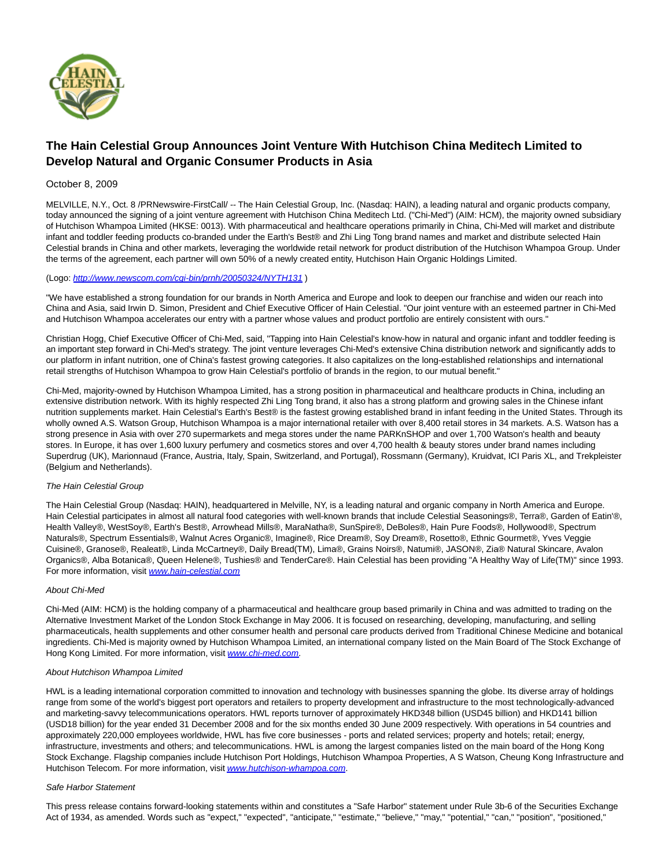

# **The Hain Celestial Group Announces Joint Venture With Hutchison China Meditech Limited to Develop Natural and Organic Consumer Products in Asia**

## October 8, 2009

MELVILLE, N.Y., Oct. 8 /PRNewswire-FirstCall/ -- The Hain Celestial Group, Inc. (Nasdaq: HAIN), a leading natural and organic products company, today announced the signing of a joint venture agreement with Hutchison China Meditech Ltd. ("Chi-Med") (AIM: HCM), the majority owned subsidiary of Hutchison Whampoa Limited (HKSE: 0013). With pharmaceutical and healthcare operations primarily in China, Chi-Med will market and distribute infant and toddler feeding products co-branded under the Earth's Best® and Zhi Ling Tong brand names and market and distribute selected Hain Celestial brands in China and other markets, leveraging the worldwide retail network for product distribution of the Hutchison Whampoa Group. Under the terms of the agreement, each partner will own 50% of a newly created entity, Hutchison Hain Organic Holdings Limited.

### (Logo: <http://www.newscom.com/cgi-bin/prnh/20050324/NYTH131> )

"We have established a strong foundation for our brands in North America and Europe and look to deepen our franchise and widen our reach into China and Asia, said Irwin D. Simon, President and Chief Executive Officer of Hain Celestial. "Our joint venture with an esteemed partner in Chi-Med and Hutchison Whampoa accelerates our entry with a partner whose values and product portfolio are entirely consistent with ours."

Christian Hogg, Chief Executive Officer of Chi-Med, said, "Tapping into Hain Celestial's know-how in natural and organic infant and toddler feeding is an important step forward in Chi-Med's strategy. The joint venture leverages Chi-Med's extensive China distribution network and significantly adds to our platform in infant nutrition, one of China's fastest growing categories. It also capitalizes on the long-established relationships and international retail strengths of Hutchison Whampoa to grow Hain Celestial's portfolio of brands in the region, to our mutual benefit."

Chi-Med, majority-owned by Hutchison Whampoa Limited, has a strong position in pharmaceutical and healthcare products in China, including an extensive distribution network. With its highly respected Zhi Ling Tong brand, it also has a strong platform and growing sales in the Chinese infant nutrition supplements market. Hain Celestial's Earth's Best® is the fastest growing established brand in infant feeding in the United States. Through its wholly owned A.S. Watson Group, Hutchison Whampoa is a major international retailer with over 8,400 retail stores in 34 markets. A.S. Watson has a strong presence in Asia with over 270 supermarkets and mega stores under the name PARKnSHOP and over 1,700 Watson's health and beauty stores. In Europe, it has over 1,600 luxury perfumery and cosmetics stores and over 4,700 health & beauty stores under brand names including Superdrug (UK), Marionnaud (France, Austria, Italy, Spain, Switzerland, and Portugal), Rossmann (Germany), Kruidvat, ICI Paris XL, and Trekpleister (Belgium and Netherlands).

## The Hain Celestial Group

The Hain Celestial Group (Nasdaq: HAIN), headquartered in Melville, NY, is a leading natural and organic company in North America and Europe. Hain Celestial participates in almost all natural food categories with well-known brands that include Celestial Seasonings®, Terra®, Garden of Eatin'®, Health Valley®, WestSoy®, Earth's Best®, Arrowhead Mills®, MaraNatha®, SunSpire®, DeBoles®, Hain Pure Foods®, Hollywood®, Spectrum Naturals®, Spectrum Essentials®, Walnut Acres Organic®, Imagine®, Rice Dream®, Soy Dream®, Rosetto®, Ethnic Gourmet®, Yves Veggie Cuisine®, Granose®, Realeat®, Linda McCartney®, Daily Bread(TM), Lima®, Grains Noirs®, Natumi®, JASON®, Zia® Natural Skincare, Avalon Organics®, Alba Botanica®, Queen Helene®, Tushies® and TenderCare®. Hain Celestial has been providing "A Healthy Way of Life(TM)" since 1993. For more information, visit [www.hain-celestial.com](http://www.hain-celestial.com/)

#### About Chi-Med

Chi-Med (AIM: HCM) is the holding company of a pharmaceutical and healthcare group based primarily in China and was admitted to trading on the Alternative Investment Market of the London Stock Exchange in May 2006. It is focused on researching, developing, manufacturing, and selling pharmaceuticals, health supplements and other consumer health and personal care products derived from Traditional Chinese Medicine and botanical ingredients. Chi-Med is majority owned by Hutchison Whampoa Limited, an international company listed on the Main Board of The Stock Exchange of Hong Kong Limited. For more information, visit [www.chi-med.com](http://www.chi-med.com/).

#### About Hutchison Whampoa Limited

HWL is a leading international corporation committed to innovation and technology with businesses spanning the globe. Its diverse array of holdings range from some of the world's biggest port operators and retailers to property development and infrastructure to the most technologically-advanced and marketing-savvy telecommunications operators. HWL reports turnover of approximately HKD348 billion (USD45 billion) and HKD141 billion (USD18 billion) for the year ended 31 December 2008 and for the six months ended 30 June 2009 respectively. With operations in 54 countries and approximately 220,000 employees worldwide, HWL has five core businesses - ports and related services; property and hotels; retail; energy, infrastructure, investments and others; and telecommunications. HWL is among the largest companies listed on the main board of the Hong Kong Stock Exchange. Flagship companies include Hutchison Port Holdings, Hutchison Whampoa Properties, A S Watson, Cheung Kong Infrastructure and Hutchison Telecom. For more information, visit [www.hutchison-whampoa.com](http://www.hutchison-whampoa.com/).

#### Safe Harbor Statement

This press release contains forward-looking statements within and constitutes a "Safe Harbor" statement under Rule 3b-6 of the Securities Exchange Act of 1934, as amended. Words such as "expect," "expected", "anticipate," "estimate," "believe," "may," "potential," "can," "position", "positioned,"